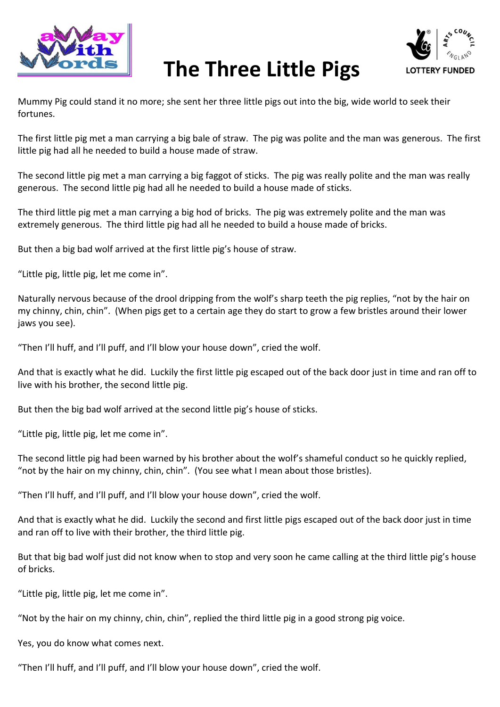

## **The Three Little Pigs**



Mummy Pig could stand it no more; she sent her three little pigs out into the big, wide world to seek their fortunes.

The first little pig met a man carrying a big bale of straw. The pig was polite and the man was generous. The first little pig had all he needed to build a house made of straw.

The second little pig met a man carrying a big faggot of sticks. The pig was really polite and the man was really generous. The second little pig had all he needed to build a house made of sticks.

The third little pig met a man carrying a big hod of bricks. The pig was extremely polite and the man was extremely generous. The third little pig had all he needed to build a house made of bricks.

But then a big bad wolf arrived at the first little pig's house of straw.

"Little pig, little pig, let me come in".

Naturally nervous because of the drool dripping from the wolf's sharp teeth the pig replies, "not by the hair on my chinny, chin, chin". (When pigs get to a certain age they do start to grow a few bristles around their lower jaws you see).

"Then I'll huff, and I'll puff, and I'll blow your house down", cried the wolf.

And that is exactly what he did. Luckily the first little pig escaped out of the back door just in time and ran off to live with his brother, the second little pig.

But then the big bad wolf arrived at the second little pig's house of sticks.

"Little pig, little pig, let me come in".

The second little pig had been warned by his brother about the wolf's shameful conduct so he quickly replied, "not by the hair on my chinny, chin, chin". (You see what I mean about those bristles).

"Then I'll huff, and I'll puff, and I'll blow your house down", cried the wolf.

And that is exactly what he did. Luckily the second and first little pigs escaped out of the back door just in time and ran off to live with their brother, the third little pig.

But that big bad wolf just did not know when to stop and very soon he came calling at the third little pig's house of bricks.

"Little pig, little pig, let me come in".

"Not by the hair on my chinny, chin, chin", replied the third little pig in a good strong pig voice.

Yes, you do know what comes next.

"Then I'll huff, and I'll puff, and I'll blow your house down", cried the wolf.